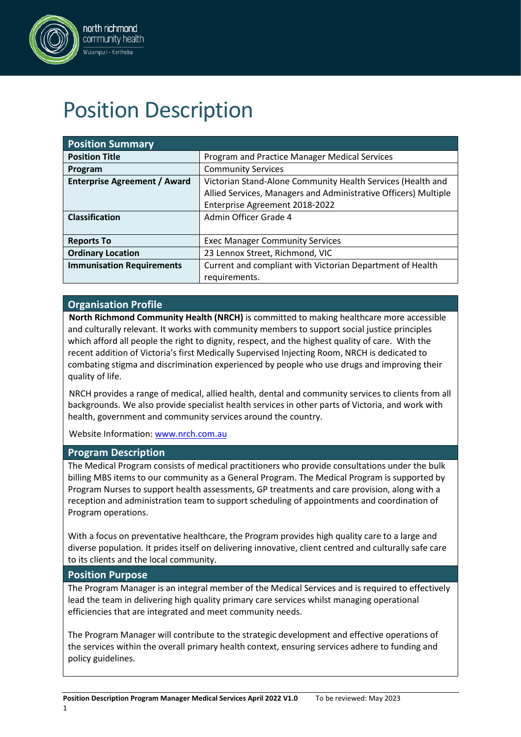

# Position Description

| <b>Position Summary</b>             |                                                                 |
|-------------------------------------|-----------------------------------------------------------------|
| <b>Position Title</b>               | Program and Practice Manager Medical Services                   |
| Program                             | <b>Community Services</b>                                       |
| <b>Enterprise Agreement / Award</b> | Victorian Stand-Alone Community Health Services (Health and     |
|                                     | Allied Services, Managers and Administrative Officers) Multiple |
|                                     | Enterprise Agreement 2018-2022                                  |
| <b>Classification</b>               | Admin Officer Grade 4                                           |
|                                     |                                                                 |
| <b>Reports To</b>                   | <b>Exec Manager Community Services</b>                          |
| <b>Ordinary Location</b>            | 23 Lennox Street, Richmond, VIC                                 |
| <b>Immunisation Requirements</b>    | Current and compliant with Victorian Department of Health       |
|                                     | requirements.                                                   |

### **Organisation Profile**

**North Richmond Community Health (NRCH)** is committed to making healthcare more accessible and culturally relevant. It works with community members to support social justice principles which afford all people the right to dignity, respect, and the highest quality of care. With the recent addition of Victoria's first Medically Supervised Injecting Room, NRCH is dedicated to combating stigma and discrimination experienced by people who use drugs and improving their quality of life.

NRCH provides a range of medical, allied health, dental and community services to clients from all backgrounds. We also provide specialist health services in other parts of Victoria, and work with health, government and community services around the country.

Website Information: [www.nrch.com.au](http://www.nrch.com.au/)

#### **Program Description**

The Medical Program consists of medical practitioners who provide consultations under the bulk billing MBS items to our community as a General Program. The Medical Program is supported by Program Nurses to support health assessments, GP treatments and care provision, along with a reception and administration team to support scheduling of appointments and coordination of Program operations.

With a focus on preventative healthcare, the Program provides high quality care to a large and diverse population. It prides itself on delivering innovative, client centred and culturally safe care to its clients and the local community.

#### **Position Purpose**

The Program Manager is an integral member of the Medical Services and is required to effectively lead the team in delivering high quality primary care services whilst managing operational efficiencies that are integrated and meet community needs.

The Program Manager will contribute to the strategic development and effective operations of the services within the overall primary health context, ensuring services adhere to funding and policy guidelines.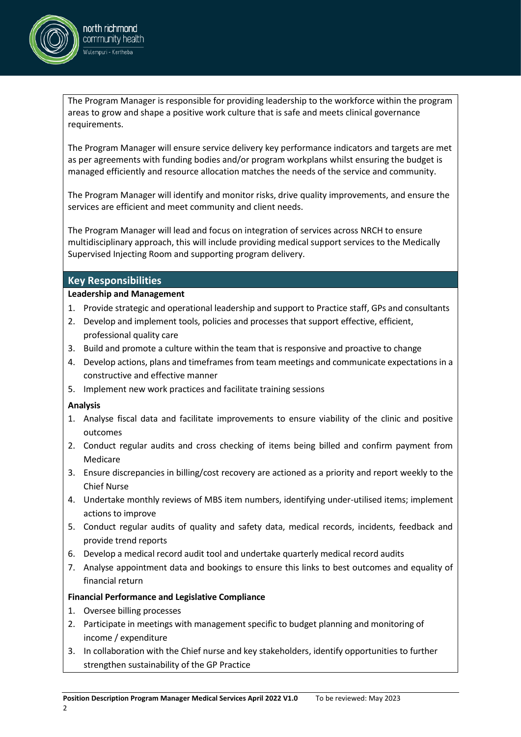

The Program Manager is responsible for providing leadership to the workforce within the program areas to grow and shape a positive work culture that is safe and meets clinical governance requirements.

The Program Manager will ensure service delivery key performance indicators and targets are met as per agreements with funding bodies and/or program workplans whilst ensuring the budget is managed efficiently and resource allocation matches the needs of the service and community.

The Program Manager will identify and monitor risks, drive quality improvements, and ensure the services are efficient and meet community and client needs.

The Program Manager will lead and focus on integration of services across NRCH to ensure multidisciplinary approach, this will include providing medical support services to the Medically Supervised Injecting Room and supporting program delivery.

#### **Key Responsibilities**

#### **Leadership and Management**

- 1. Provide strategic and operational leadership and support to Practice staff, GPs and consultants
- 2. Develop and implement tools, policies and processes that support effective, efficient, professional quality care
- 3. Build and promote a culture within the team that is responsive and proactive to change
- 4. Develop actions, plans and timeframes from team meetings and communicate expectations in a constructive and effective manner
- 5. Implement new work practices and facilitate training sessions

#### **Analysis**

- 1. Analyse fiscal data and facilitate improvements to ensure viability of the clinic and positive outcomes
- 2. Conduct regular audits and cross checking of items being billed and confirm payment from Medicare
- 3. Ensure discrepancies in billing/cost recovery are actioned as a priority and report weekly to the Chief Nurse
- 4. Undertake monthly reviews of MBS item numbers, identifying under-utilised items; implement actions to improve
- 5. Conduct regular audits of quality and safety data, medical records, incidents, feedback and provide trend reports
- 6. Develop a medical record audit tool and undertake quarterly medical record audits
- 7. Analyse appointment data and bookings to ensure this links to best outcomes and equality of financial return

#### **Financial Performance and Legislative Compliance**

- 1. Oversee billing processes
- 2. Participate in meetings with management specific to budget planning and monitoring of income / expenditure
- 3. In collaboration with the Chief nurse and key stakeholders, identify opportunities to further strengthen sustainability of the GP Practice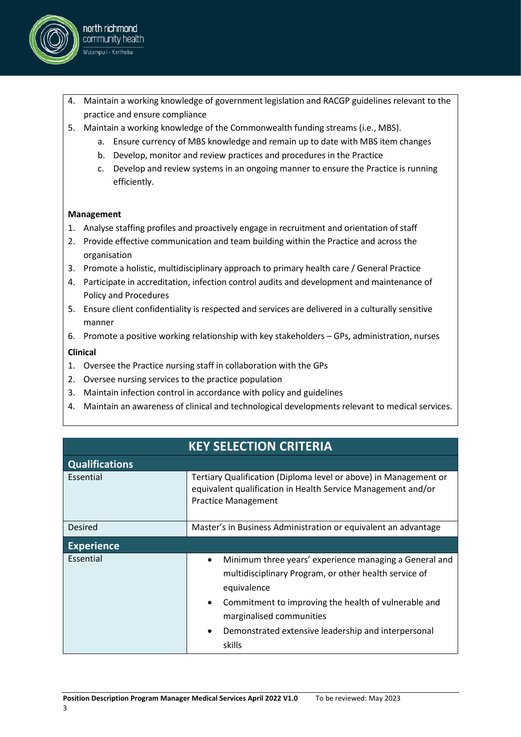

- 4. Maintain a working knowledge of government legislation and RACGP guidelines relevant to the practice and ensure compliance
- 5. Maintain a working knowledge of the Commonwealth funding streams (i.e., MBS).
	- a. Ensure currency of MBS knowledge and remain up to date with MBS item changes
	- b. Develop, monitor and review practices and procedures in the Practice
	- c. Develop and review systems in an ongoing manner to ensure the Practice is running efficiently.

#### **Management**

- 1. Analyse staffing profiles and proactively engage in recruitment and orientation of staff
- 2. Provide effective communication and team building within the Practice and across the organisation
- 3. Promote a holistic, multidisciplinary approach to primary health care / General Practice
- 4. Participate in accreditation, infection control audits and development and maintenance of Policy and Procedures
- 5. Ensure client confidentiality is respected and services are delivered in a culturally sensitive manner
- 6. Promote a positive working relationship with key stakeholders GPs, administration, nurses

#### **Clinical**

- 1. Oversee the Practice nursing staff in collaboration with the GPs
- 2. Oversee nursing services to the practice population
- 3. Maintain infection control in accordance with policy and guidelines
- 4. Maintain an awareness of clinical and technological developments relevant to medical services.

| <b>KEY SELECTION CRITERIA</b> |                                                                                                                                                                                                                                                                                                  |  |  |  |  |
|-------------------------------|--------------------------------------------------------------------------------------------------------------------------------------------------------------------------------------------------------------------------------------------------------------------------------------------------|--|--|--|--|
| <b>Qualifications</b>         |                                                                                                                                                                                                                                                                                                  |  |  |  |  |
| Essential                     | Tertiary Qualification (Diploma level or above) in Management or<br>equivalent qualification in Health Service Management and/or<br><b>Practice Management</b>                                                                                                                                   |  |  |  |  |
| Desired                       | Master's in Business Administration or equivalent an advantage                                                                                                                                                                                                                                   |  |  |  |  |
| <b>Experience</b>             |                                                                                                                                                                                                                                                                                                  |  |  |  |  |
| Essential                     | Minimum three years' experience managing a General and<br>multidisciplinary Program, or other health service of<br>equivalence<br>Commitment to improving the health of vulnerable and<br>$\bullet$<br>marginalised communities<br>Demonstrated extensive leadership and interpersonal<br>skills |  |  |  |  |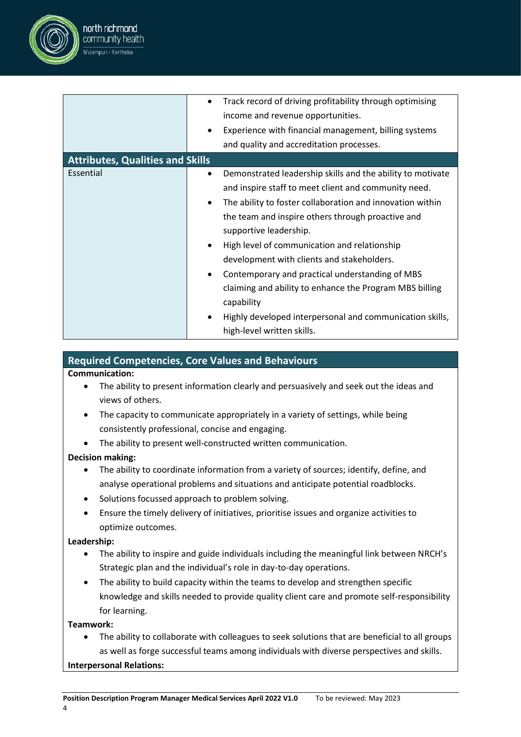

|                                         | Track record of driving profitability through optimising        |
|-----------------------------------------|-----------------------------------------------------------------|
|                                         | income and revenue opportunities.                               |
|                                         | Experience with financial management, billing systems<br>٠      |
|                                         | and quality and accreditation processes.                        |
| <b>Attributes, Qualities and Skills</b> |                                                                 |
| Essential                               | Demonstrated leadership skills and the ability to motivate<br>٠ |
|                                         | and inspire staff to meet client and community need.            |
|                                         | The ability to foster collaboration and innovation within       |
|                                         | the team and inspire others through proactive and               |
|                                         | supportive leadership.                                          |
|                                         | High level of communication and relationship<br>$\bullet$       |
|                                         | development with clients and stakeholders.                      |
|                                         | Contemporary and practical understanding of MBS                 |
|                                         | claiming and ability to enhance the Program MBS billing         |
|                                         | capability                                                      |
|                                         | Highly developed interpersonal and communication skills,        |
|                                         | high-level written skills.                                      |

#### **Required Competencies, Core Values and Behaviours**

#### **Communication:**

- The ability to present information clearly and persuasively and seek out the ideas and views of others.
- The capacity to communicate appropriately in a variety of settings, while being consistently professional, concise and engaging.
- The ability to present well-constructed written communication.

#### **Decision making:**

- The ability to coordinate information from a variety of sources; identify, define, and analyse operational problems and situations and anticipate potential roadblocks.
- Solutions focussed approach to problem solving.
- Ensure the timely delivery of initiatives, prioritise issues and organize activities to optimize outcomes.

#### **Leadership:**

- The ability to inspire and guide individuals including the meaningful link between NRCH's Strategic plan and the individual's role in day-to-day operations.
- The ability to build capacity within the teams to develop and strengthen specific knowledge and skills needed to provide quality client care and promote self-responsibility for learning.

#### **Teamwork:**

• The ability to collaborate with colleagues to seek solutions that are beneficial to all groups as well as forge successful teams among individuals with diverse perspectives and skills.

#### **Interpersonal Relations:**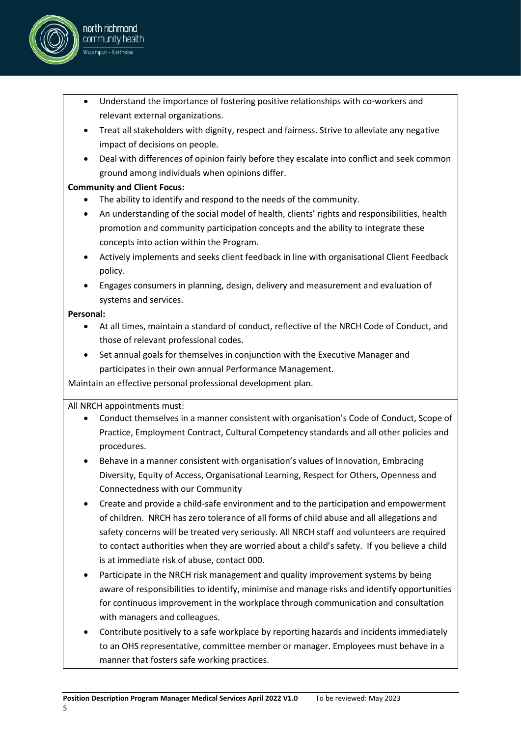

- Treat all stakeholders with dignity, respect and fairness. Strive to alleviate any negative impact of decisions on people.
- Deal with differences of opinion fairly before they escalate into conflict and seek common ground among individuals when opinions differ.

#### **Community and Client Focus:**

north richmond community health .<br>Wulempuri - Kertheba

- The ability to identify and respond to the needs of the community.
- An understanding of the social model of health, clients' rights and responsibilities, health promotion and community participation concepts and the ability to integrate these concepts into action within the Program.
- Actively implements and seeks client feedback in line with organisational Client Feedback policy.
- Engages consumers in planning, design, delivery and measurement and evaluation of systems and services.

#### **Personal:**

- At all times, maintain a standard of conduct, reflective of the NRCH Code of Conduct, and those of relevant professional codes.
- Set annual goals for themselves in conjunction with the Executive Manager and participates in their own annual Performance Management.

Maintain an effective personal professional development plan.

#### All NRCH appointments must:

- Conduct themselves in a manner consistent with organisation's Code of Conduct, Scope of Practice, Employment Contract, Cultural Competency standards and all other policies and procedures.
- Behave in a manner consistent with organisation's values of Innovation, Embracing Diversity, Equity of Access, Organisational Learning, Respect for Others, Openness and Connectedness with our Community
- Create and provide a child-safe environment and to the participation and empowerment of children. NRCH has zero tolerance of all forms of child abuse and all allegations and safety concerns will be treated very seriously. All NRCH staff and volunteers are required to contact authorities when they are worried about a child's safety. If you believe a child is at immediate risk of abuse, contact 000.
- Participate in the NRCH risk management and quality improvement systems by being aware of responsibilities to identify, minimise and manage risks and identify opportunities for continuous improvement in the workplace through communication and consultation with managers and colleagues.
- Contribute positively to a safe workplace by reporting hazards and incidents immediately to an OHS representative, committee member or manager. Employees must behave in a manner that fosters safe working practices.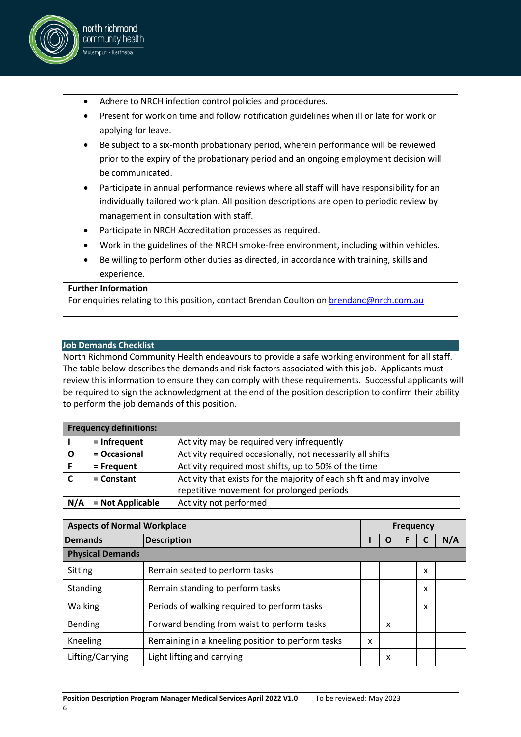

- Present for work on time and follow notification guidelines when ill or late for work or applying for leave.
- Be subject to a six-month probationary period, wherein performance will be reviewed prior to the expiry of the probationary period and an ongoing employment decision will be communicated.
- Participate in annual performance reviews where all staff will have responsibility for an individually tailored work plan. All position descriptions are open to periodic review by management in consultation with staff.
- Participate in NRCH Accreditation processes as required.
- Work in the guidelines of the NRCH smoke-free environment, including within vehicles.
- Be willing to perform other duties as directed, in accordance with training, skills and experience.

#### **Further Information**

north richmond community health .<br>Wulempuri - Kertheba

For enquiries relating to this position, contact Brendan Coulton on [brendanc@nrch.com.au](mailto:brendanc@nrch.com.au)

#### **Job Demands Checklist**

North Richmond Community Health endeavours to provide a safe working environment for all staff. The table below describes the demands and risk factors associated with this job. Applicants must review this information to ensure they can comply with these requirements. Successful applicants will be required to sign the acknowledgment at the end of the position description to confirm their ability to perform the job demands of this position.

|     | <b>Frequency definitions:</b> |                                                                     |
|-----|-------------------------------|---------------------------------------------------------------------|
|     | $=$ Infrequent                | Activity may be required very infrequently                          |
|     | = Occasional                  | Activity required occasionally, not necessarily all shifts          |
|     | = Frequent                    | Activity required most shifts, up to 50% of the time                |
|     | $=$ Constant                  | Activity that exists for the majority of each shift and may involve |
|     |                               | repetitive movement for prolonged periods                           |
| N/A | = Not Applicable              | Activity not performed                                              |

| <b>Aspects of Normal Workplace</b> |                                                   | <b>Frequency</b> |   |  |   |     |
|------------------------------------|---------------------------------------------------|------------------|---|--|---|-----|
| Demands                            | <b>Description</b>                                |                  | O |  |   | N/A |
| <b>Physical Demands</b>            |                                                   |                  |   |  |   |     |
| <b>Sitting</b>                     | Remain seated to perform tasks                    |                  |   |  | x |     |
| Standing                           | Remain standing to perform tasks                  |                  |   |  | x |     |
| Walking                            | Periods of walking required to perform tasks      |                  |   |  | x |     |
| Bending                            | Forward bending from waist to perform tasks       |                  | x |  |   |     |
| Kneeling                           | Remaining in a kneeling position to perform tasks | x                |   |  |   |     |
| Lifting/Carrying                   | Light lifting and carrying                        |                  | x |  |   |     |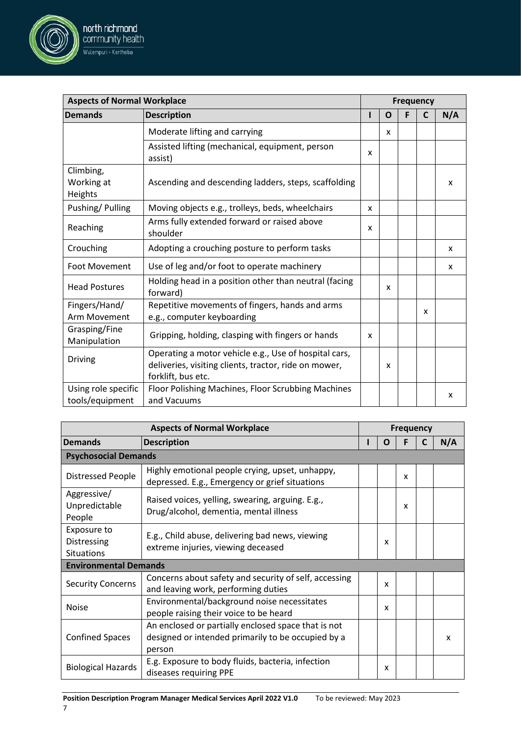

north richmond community health .<br>Wulempuri - Kertheba

| <b>Aspects of Normal Workplace</b>              |                                                                                                                     | <b>Frequency</b> |   |   |  |     |
|-------------------------------------------------|---------------------------------------------------------------------------------------------------------------------|------------------|---|---|--|-----|
| <b>Demands</b>                                  | <b>Description</b>                                                                                                  |                  | O |   |  | N/A |
|                                                 | <b>Psychosocial Demands</b>                                                                                         |                  |   |   |  |     |
| <b>Distressed People</b>                        | Highly emotional people crying, upset, unhappy,<br>depressed. E.g., Emergency or grief situations                   |                  |   | x |  |     |
| Aggressive/<br>Unpredictable<br>People          | Raised voices, yelling, swearing, arguing. E.g.,<br>Drug/alcohol, dementia, mental illness                          |                  |   | x |  |     |
| Exposure to<br>Distressing<br><b>Situations</b> | E.g., Child abuse, delivering bad news, viewing<br>extreme injuries, viewing deceased                               |                  | X |   |  |     |
| <b>Environmental Demands</b>                    |                                                                                                                     |                  |   |   |  |     |
| <b>Security Concerns</b>                        | Concerns about safety and security of self, accessing<br>and leaving work, performing duties                        |                  | X |   |  |     |
| <b>Noise</b>                                    | Environmental/background noise necessitates<br>people raising their voice to be heard                               |                  | X |   |  |     |
| <b>Confined Spaces</b>                          | An enclosed or partially enclosed space that is not<br>designed or intended primarily to be occupied by a<br>person |                  |   |   |  | x   |
| <b>Biological Hazards</b>                       | E.g. Exposure to body fluids, bacteria, infection<br>diseases requiring PPE                                         |                  | x |   |  |     |